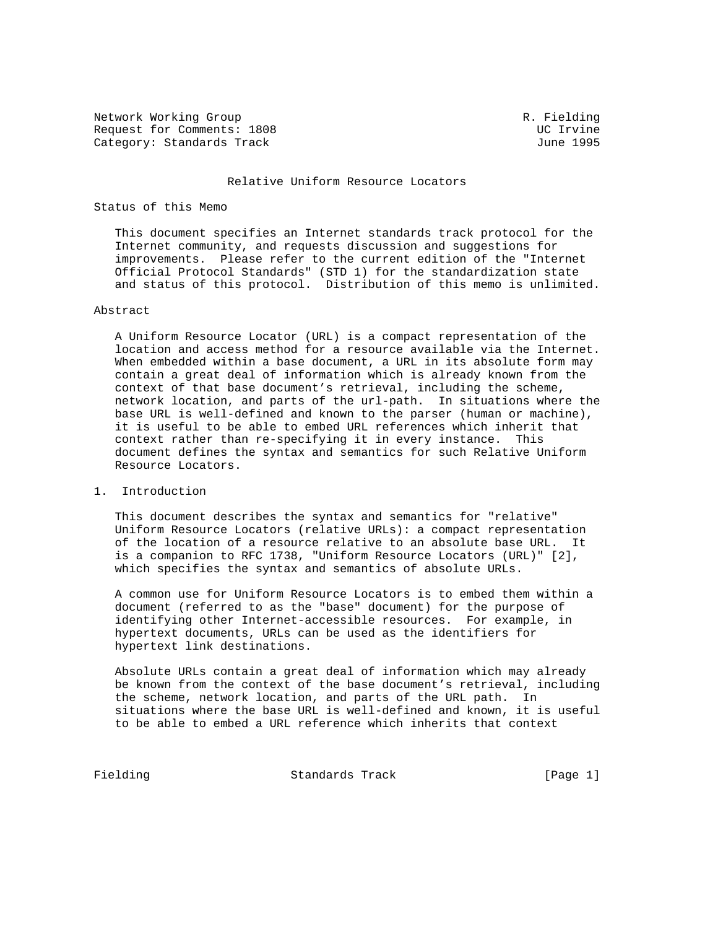Network Working Group and Communications of the R. Fielding Request for Comments: 1808<br>
Category: Standards Track<br>
UC 1995 Category: Standards Track

#### Relative Uniform Resource Locators

### Status of this Memo

 This document specifies an Internet standards track protocol for the Internet community, and requests discussion and suggestions for improvements. Please refer to the current edition of the "Internet Official Protocol Standards" (STD 1) for the standardization state and status of this protocol. Distribution of this memo is unlimited.

#### Abstract

 A Uniform Resource Locator (URL) is a compact representation of the location and access method for a resource available via the Internet. When embedded within a base document, a URL in its absolute form may contain a great deal of information which is already known from the context of that base document's retrieval, including the scheme, network location, and parts of the url-path. In situations where the base URL is well-defined and known to the parser (human or machine), it is useful to be able to embed URL references which inherit that context rather than re-specifying it in every instance. This document defines the syntax and semantics for such Relative Uniform Resource Locators.

### 1. Introduction

 This document describes the syntax and semantics for "relative" Uniform Resource Locators (relative URLs): a compact representation of the location of a resource relative to an absolute base URL. It is a companion to RFC 1738, "Uniform Resource Locators (URL)" [2], which specifies the syntax and semantics of absolute URLs.

 A common use for Uniform Resource Locators is to embed them within a document (referred to as the "base" document) for the purpose of identifying other Internet-accessible resources. For example, in hypertext documents, URLs can be used as the identifiers for hypertext link destinations.

 Absolute URLs contain a great deal of information which may already be known from the context of the base document's retrieval, including the scheme, network location, and parts of the URL path. In situations where the base URL is well-defined and known, it is useful to be able to embed a URL reference which inherits that context

Fielding **Standards Track** [Page 1]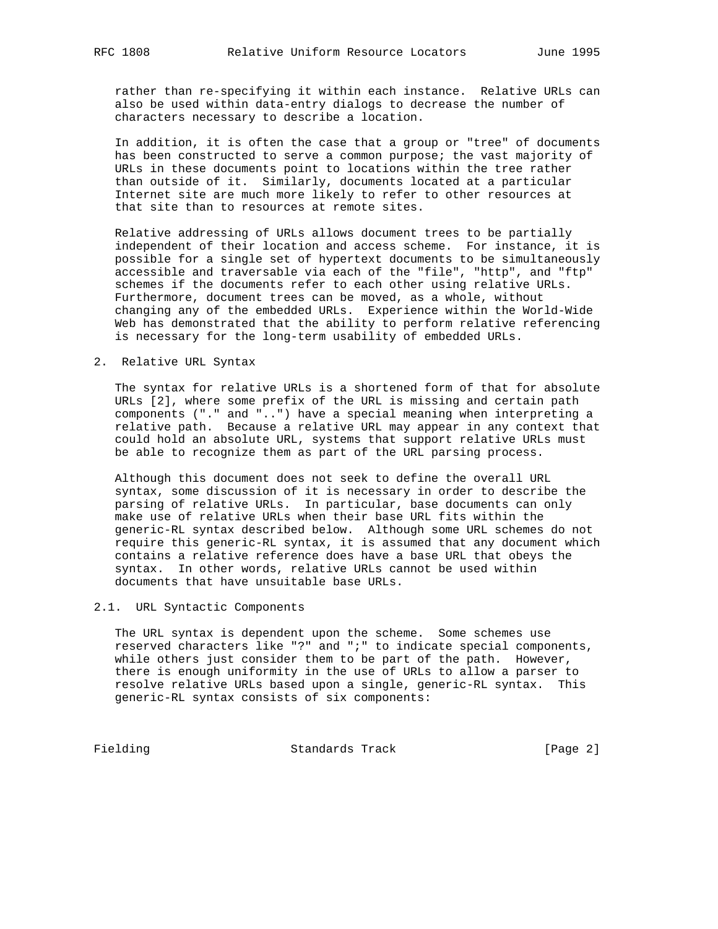rather than re-specifying it within each instance. Relative URLs can also be used within data-entry dialogs to decrease the number of characters necessary to describe a location.

 In addition, it is often the case that a group or "tree" of documents has been constructed to serve a common purpose; the vast majority of URLs in these documents point to locations within the tree rather than outside of it. Similarly, documents located at a particular Internet site are much more likely to refer to other resources at that site than to resources at remote sites.

 Relative addressing of URLs allows document trees to be partially independent of their location and access scheme. For instance, it is possible for a single set of hypertext documents to be simultaneously accessible and traversable via each of the "file", "http", and "ftp" schemes if the documents refer to each other using relative URLs. Furthermore, document trees can be moved, as a whole, without changing any of the embedded URLs. Experience within the World-Wide Web has demonstrated that the ability to perform relative referencing is necessary for the long-term usability of embedded URLs.

2. Relative URL Syntax

 The syntax for relative URLs is a shortened form of that for absolute URLs [2], where some prefix of the URL is missing and certain path components ("." and "..") have a special meaning when interpreting a relative path. Because a relative URL may appear in any context that could hold an absolute URL, systems that support relative URLs must be able to recognize them as part of the URL parsing process.

 Although this document does not seek to define the overall URL syntax, some discussion of it is necessary in order to describe the parsing of relative URLs. In particular, base documents can only make use of relative URLs when their base URL fits within the generic-RL syntax described below. Although some URL schemes do not require this generic-RL syntax, it is assumed that any document which contains a relative reference does have a base URL that obeys the syntax. In other words, relative URLs cannot be used within documents that have unsuitable base URLs.

2.1. URL Syntactic Components

 The URL syntax is dependent upon the scheme. Some schemes use reserved characters like "?" and ";" to indicate special components, while others just consider them to be part of the path. However, there is enough uniformity in the use of URLs to allow a parser to resolve relative URLs based upon a single, generic-RL syntax. This generic-RL syntax consists of six components:

Fielding Standards Track [Page 2]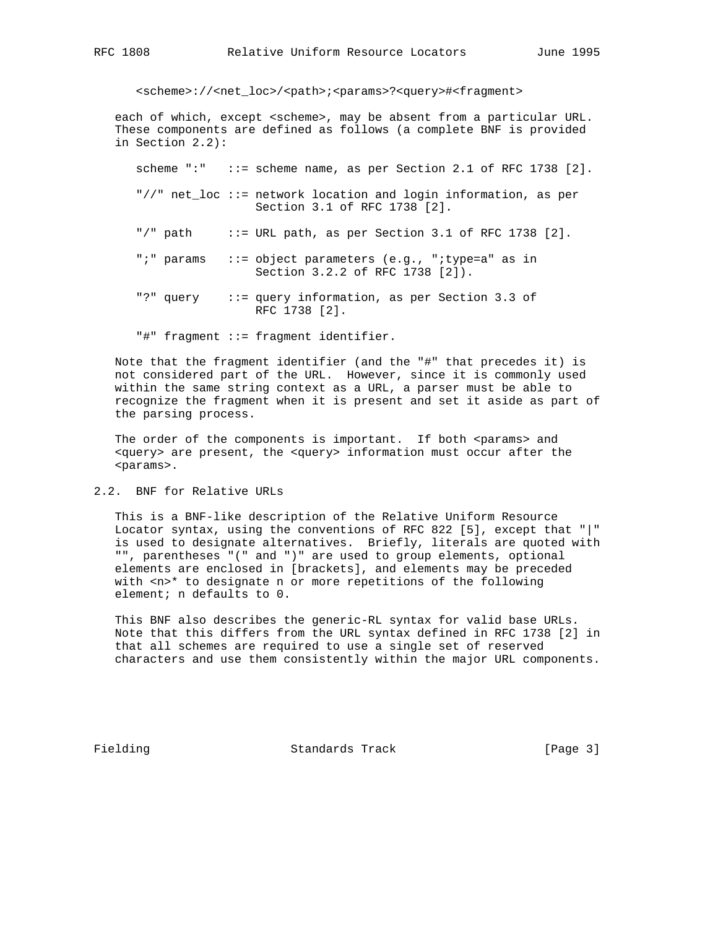<scheme>://<net\_loc>/<path>;<params>?<query>#<fragment>

 each of which, except <scheme>, may be absent from a particular URL. These components are defined as follows (a complete BNF is provided in Section 2.2):

scheme ":" ::= scheme name, as per Section 2.1 of RFC 1738 [2].

- "//" net\_loc ::= network location and login information, as per Section 3.1 of RFC 1738 [2].
- "/" path  $\therefore$  := URL path, as per Section 3.1 of RFC 1738 [2].
- ";" params ::= object parameters (e.g., ";type=a" as in Section 3.2.2 of RFC 1738 [2]).
- "?" query ::= query information, as per Section 3.3 of RFC 1738 [2].

"#" fragment ::= fragment identifier.

 Note that the fragment identifier (and the "#" that precedes it) is not considered part of the URL. However, since it is commonly used within the same string context as a URL, a parser must be able to recognize the fragment when it is present and set it aside as part of the parsing process.

The order of the components is important. If both <params> and <query> are present, the <query> information must occur after the <params>.

2.2. BNF for Relative URLs

 This is a BNF-like description of the Relative Uniform Resource Locator syntax, using the conventions of RFC 822 [5], except that "|" is used to designate alternatives. Briefly, literals are quoted with "", parentheses "(" and ")" are used to group elements, optional elements are enclosed in [brackets], and elements may be preceded with <n>\* to designate n or more repetitions of the following element; n defaults to 0.

 This BNF also describes the generic-RL syntax for valid base URLs. Note that this differs from the URL syntax defined in RFC 1738 [2] in that all schemes are required to use a single set of reserved characters and use them consistently within the major URL components.

Fielding **Standards Track** [Page 3]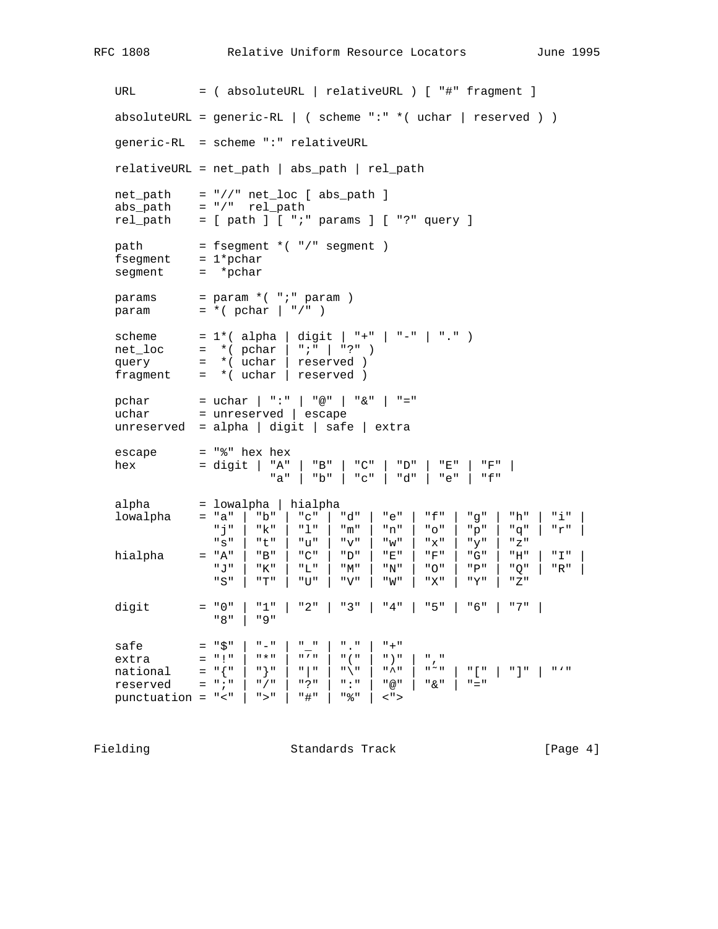URL = ( absoluteURL | relativeURL ) [ "#" fragment ] absoluteURL = generic-RL | ( scheme ":"  $*($  uchar | reserved ) ) generic-RL = scheme ":" relativeURL relativeURL = net\_path | abs\_path | rel\_path  $net\_path$  =  $\sqrt{7}$   $net\_loc$  [  $abs\_path$  ] abs path  $= "/"$  rel path rel\_path = [ path ] [ ";" params ] [ "?" query ]  $path = fsegment * ( " / " segment )$  fsegment = 1\*pchar segment = \*pchar  $params$  =  $param * ( " ; " param )$  $param = *(**pchar** | "/*")$  scheme = 1\*( alpha | digit | "+" | "-" | "." ) net\_loc = \*( pchar | ";" | "?" ) query = \*( uchar | reserved ) fragment =  $*($  uchar | reserved ) pchar = uchar | ":" | "@" | "&" | "=" uchar = unreserved | escape unreserved = alpha | digit | safe | extra escape = "%" hex hex hex = digit | "A" | "B" | "C" | "D" | "E" | "F" | "a" | "b" | "c" | "d" | "e" | "f" alpha = lowalpha | hialpha  $1$ owalpha = "a" | "b" | "c" | "d" | "e" | "f" | "g" | "h" | "i" "j" | "k" | "l" | "m" | "n" | "o" | "p" | "q" | "r" | "s" | "t" | "u" | "v" | "w" | "x" | "y" | "z" hialpha = "A" | "B" | "C" | "D" | "E" | "F" | "G" | "H" | "I" | "J" | "K" | "L" | "M" | "N" | "O" | "P" | "Q" | "R" | "S" | "T" | "U" | "V" | "W" | "X" | "Y" | "Z" digit = "0" | "1" | "2" | "3" | "4" | "5" | "6" | "7" | "8" | "9" safe = "\$" | "-" | "\_" | "." | "+" extra = "!" | "\*" | "'" | "(" | ")" | "," national =  $\lceil {\lceil {\cdot} \rceil} \rceil$  |  $\lceil {\cdot} \rceil$  |  $\lceil {\cdot} \rceil$  |  $\lceil {\cdot} \rceil$  |  $\lceil {\cdot} \rceil$  |  $\lceil {\cdot} \rceil$  |  $\lceil {\cdot} \rceil$  |  $\lceil {\cdot} \rceil$ reserved = ";" | "/" | "?" | ":" | "@" | "&" | "=" punctuation = "<" | ">" | "#" | "%" | <">

Fielding **Standards Track** [Page 4]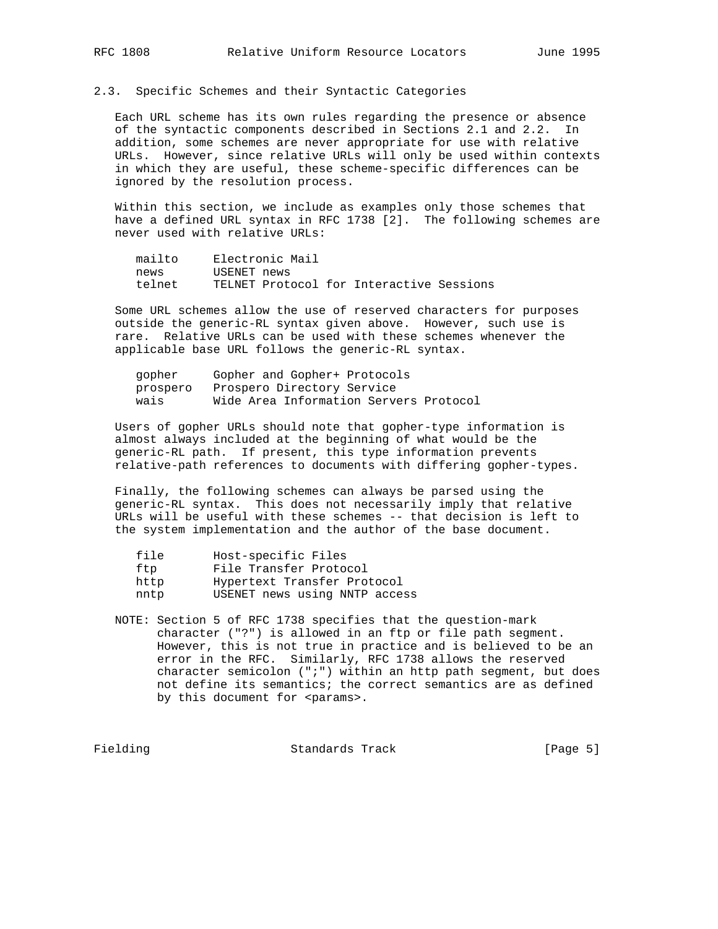# 2.3. Specific Schemes and their Syntactic Categories

 Each URL scheme has its own rules regarding the presence or absence of the syntactic components described in Sections 2.1 and 2.2. In addition, some schemes are never appropriate for use with relative URLs. However, since relative URLs will only be used within contexts in which they are useful, these scheme-specific differences can be ignored by the resolution process.

 Within this section, we include as examples only those schemes that have a defined URL syntax in RFC 1738 [2]. The following schemes are never used with relative URLs:

| mailto |             | Electronic Mail |                                          |  |
|--------|-------------|-----------------|------------------------------------------|--|
| news   | USENET news |                 |                                          |  |
| telnet |             |                 | TELNET Protocol for Interactive Sessions |  |

 Some URL schemes allow the use of reserved characters for purposes outside the generic-RL syntax given above. However, such use is rare. Relative URLs can be used with these schemes whenever the applicable base URL follows the generic-RL syntax.

| qopher   | Gopher and Gopher+ Protocols           |
|----------|----------------------------------------|
| prospero | Prospero Directory Service             |
| wais     | Wide Area Information Servers Protocol |

 Users of gopher URLs should note that gopher-type information is almost always included at the beginning of what would be the generic-RL path. If present, this type information prevents relative-path references to documents with differing gopher-types.

 Finally, the following schemes can always be parsed using the generic-RL syntax. This does not necessarily imply that relative URLs will be useful with these schemes -- that decision is left to the system implementation and the author of the base document.

| file | Host-specific Files           |
|------|-------------------------------|
| ftp  | File Transfer Protocol        |
| http | Hypertext Transfer Protocol   |
| nntp | USENET news using NNTP access |

 NOTE: Section 5 of RFC 1738 specifies that the question-mark character ("?") is allowed in an ftp or file path segment. However, this is not true in practice and is believed to be an error in the RFC. Similarly, RFC 1738 allows the reserved character semicolon  $('i")$  within an http path segment, but does not define its semantics; the correct semantics are as defined by this document for <params>.

Fielding **Standards Track** [Page 5]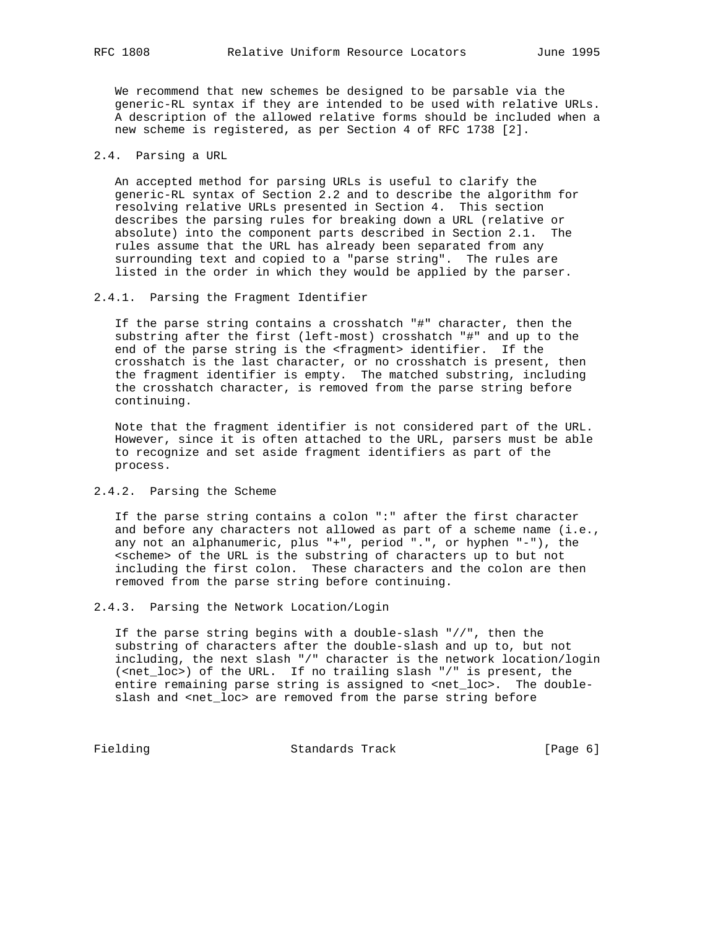We recommend that new schemes be designed to be parsable via the generic-RL syntax if they are intended to be used with relative URLs. A description of the allowed relative forms should be included when a new scheme is registered, as per Section 4 of RFC 1738 [2].

# 2.4. Parsing a URL

 An accepted method for parsing URLs is useful to clarify the generic-RL syntax of Section 2.2 and to describe the algorithm for resolving relative URLs presented in Section 4. This section describes the parsing rules for breaking down a URL (relative or absolute) into the component parts described in Section 2.1. The rules assume that the URL has already been separated from any surrounding text and copied to a "parse string". The rules are listed in the order in which they would be applied by the parser.

#### 2.4.1. Parsing the Fragment Identifier

 If the parse string contains a crosshatch "#" character, then the substring after the first (left-most) crosshatch "#" and up to the end of the parse string is the <fragment> identifier. If the crosshatch is the last character, or no crosshatch is present, then the fragment identifier is empty. The matched substring, including the crosshatch character, is removed from the parse string before continuing.

 Note that the fragment identifier is not considered part of the URL. However, since it is often attached to the URL, parsers must be able to recognize and set aside fragment identifiers as part of the process.

### 2.4.2. Parsing the Scheme

 If the parse string contains a colon ":" after the first character and before any characters not allowed as part of a scheme name (i.e., any not an alphanumeric, plus "+", period ".", or hyphen "-"), the <scheme> of the URL is the substring of characters up to but not including the first colon. These characters and the colon are then removed from the parse string before continuing.

2.4.3. Parsing the Network Location/Login

 If the parse string begins with a double-slash "//", then the substring of characters after the double-slash and up to, but not including, the next slash "/" character is the network location/login (<net\_loc>) of the URL. If no trailing slash "/" is present, the entire remaining parse string is assigned to <net\_loc>. The doubleslash and <net\_loc> are removed from the parse string before

Fielding Standards Track [Page 6]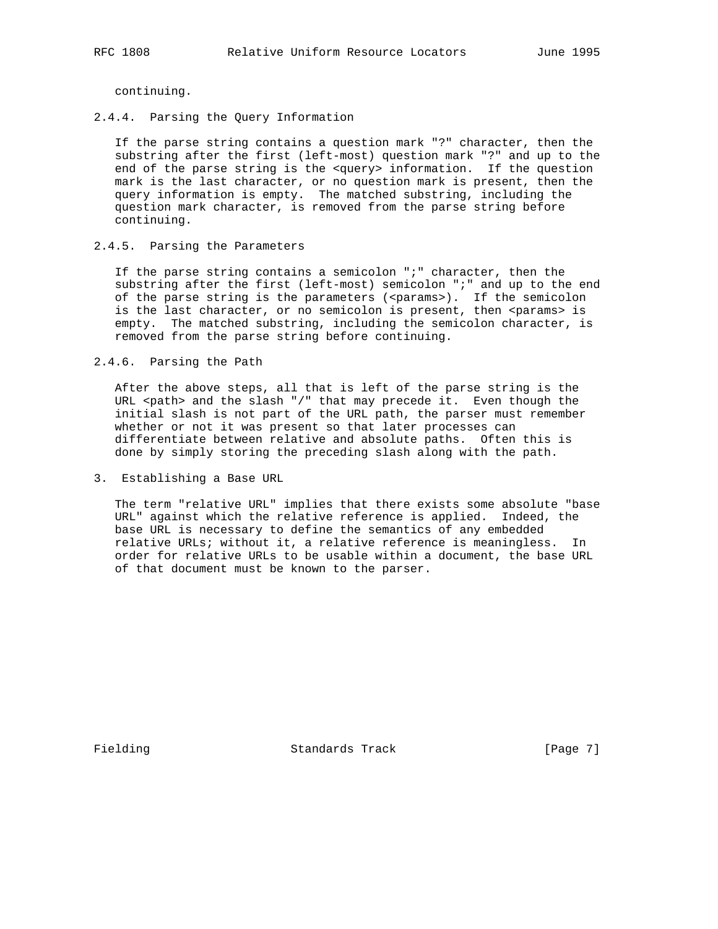continuing.

2.4.4. Parsing the Query Information

 If the parse string contains a question mark "?" character, then the substring after the first (left-most) question mark "?" and up to the end of the parse string is the <query> information. If the question mark is the last character, or no question mark is present, then the query information is empty. The matched substring, including the question mark character, is removed from the parse string before continuing.

### 2.4.5. Parsing the Parameters

 If the parse string contains a semicolon ";" character, then the substring after the first (left-most) semicolon ";" and up to the end of the parse string is the parameters (<params>). If the semicolon is the last character, or no semicolon is present, then <params> is empty. The matched substring, including the semicolon character, is removed from the parse string before continuing.

2.4.6. Parsing the Path

 After the above steps, all that is left of the parse string is the URL <path> and the slash "/" that may precede it. Even though the initial slash is not part of the URL path, the parser must remember whether or not it was present so that later processes can differentiate between relative and absolute paths. Often this is done by simply storing the preceding slash along with the path.

3. Establishing a Base URL

 The term "relative URL" implies that there exists some absolute "base URL" against which the relative reference is applied. Indeed, the base URL is necessary to define the semantics of any embedded relative URLs; without it, a relative reference is meaningless. In order for relative URLs to be usable within a document, the base URL of that document must be known to the parser.

Fielding Standards Track [Page 7]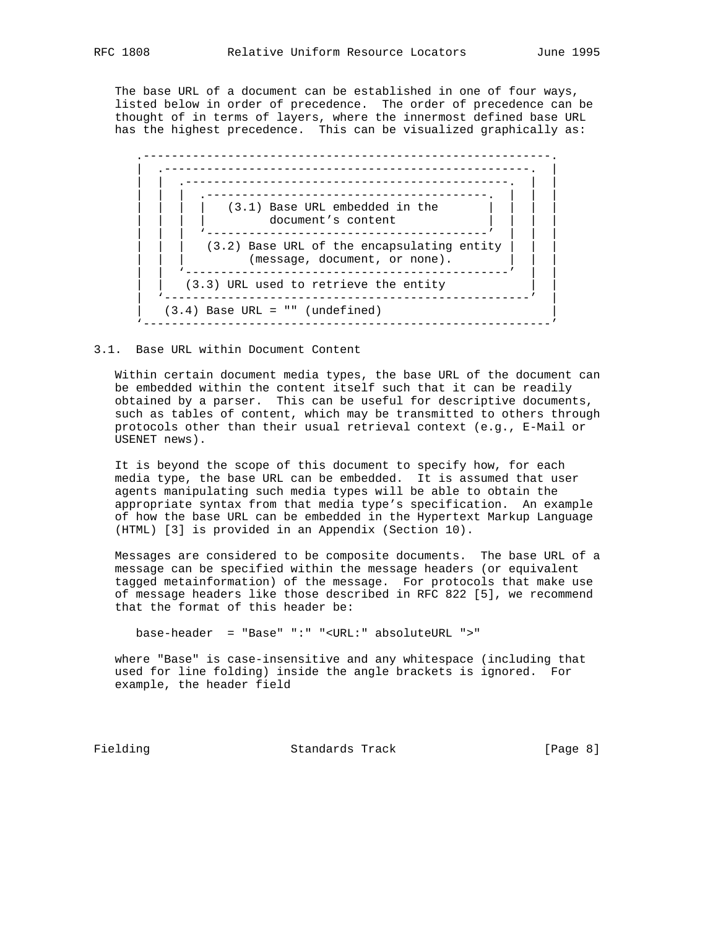The base URL of a document can be established in one of four ways, listed below in order of precedence. The order of precedence can be thought of in terms of layers, where the innermost defined base URL has the highest precedence. This can be visualized graphically as:



3.1. Base URL within Document Content

 Within certain document media types, the base URL of the document can be embedded within the content itself such that it can be readily obtained by a parser. This can be useful for descriptive documents, such as tables of content, which may be transmitted to others through protocols other than their usual retrieval context (e.g., E-Mail or USENET news).

 It is beyond the scope of this document to specify how, for each media type, the base URL can be embedded. It is assumed that user agents manipulating such media types will be able to obtain the appropriate syntax from that media type's specification. An example of how the base URL can be embedded in the Hypertext Markup Language (HTML) [3] is provided in an Appendix (Section 10).

 Messages are considered to be composite documents. The base URL of a message can be specified within the message headers (or equivalent tagged metainformation) of the message. For protocols that make use of message headers like those described in RFC 822 [5], we recommend that the format of this header be:

base-header = "Base" ":" "<URL:" absoluteURL ">"

 where "Base" is case-insensitive and any whitespace (including that used for line folding) inside the angle brackets is ignored. For example, the header field

Fielding **Standards Track** [Page 8]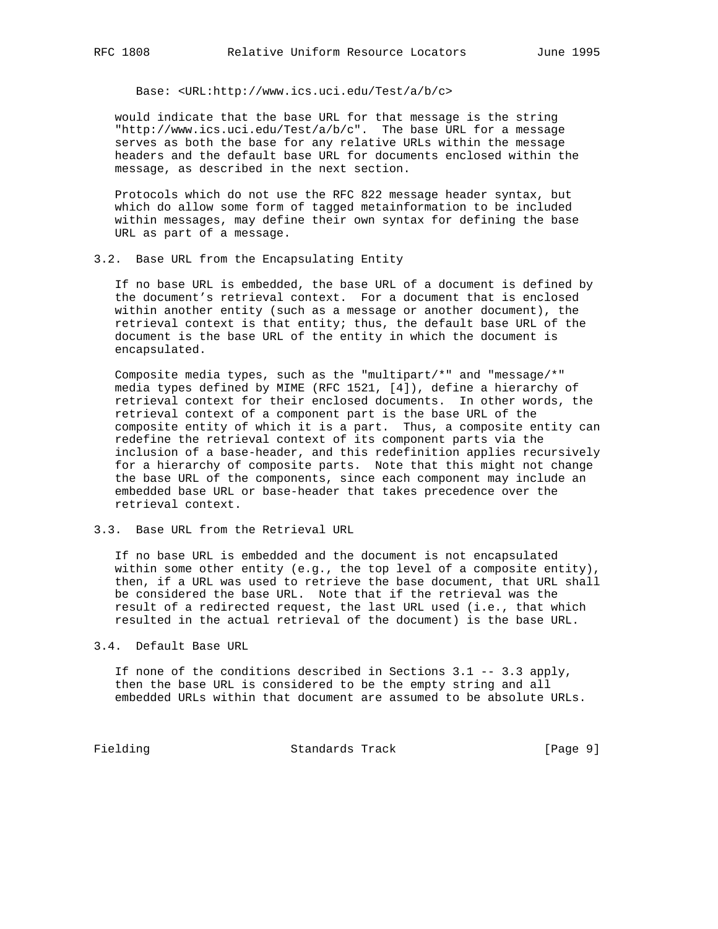Base: <URL:http://www.ics.uci.edu/Test/a/b/c>

 would indicate that the base URL for that message is the string "http://www.ics.uci.edu/Test/a/b/c". The base URL for a message serves as both the base for any relative URLs within the message headers and the default base URL for documents enclosed within the message, as described in the next section.

 Protocols which do not use the RFC 822 message header syntax, but which do allow some form of tagged metainformation to be included within messages, may define their own syntax for defining the base URL as part of a message.

3.2. Base URL from the Encapsulating Entity

 If no base URL is embedded, the base URL of a document is defined by the document's retrieval context. For a document that is enclosed within another entity (such as a message or another document), the retrieval context is that entity; thus, the default base URL of the document is the base URL of the entity in which the document is encapsulated.

 Composite media types, such as the "multipart/\*" and "message/\*" media types defined by MIME (RFC 1521, [4]), define a hierarchy of retrieval context for their enclosed documents. In other words, the retrieval context of a component part is the base URL of the composite entity of which it is a part. Thus, a composite entity can redefine the retrieval context of its component parts via the inclusion of a base-header, and this redefinition applies recursively for a hierarchy of composite parts. Note that this might not change the base URL of the components, since each component may include an embedded base URL or base-header that takes precedence over the retrieval context.

3.3. Base URL from the Retrieval URL

 If no base URL is embedded and the document is not encapsulated within some other entity (e.g., the top level of a composite entity), then, if a URL was used to retrieve the base document, that URL shall be considered the base URL. Note that if the retrieval was the result of a redirected request, the last URL used (i.e., that which resulted in the actual retrieval of the document) is the base URL.

3.4. Default Base URL

 If none of the conditions described in Sections 3.1 -- 3.3 apply, then the base URL is considered to be the empty string and all embedded URLs within that document are assumed to be absolute URLs.

Fielding Standards Track [Page 9]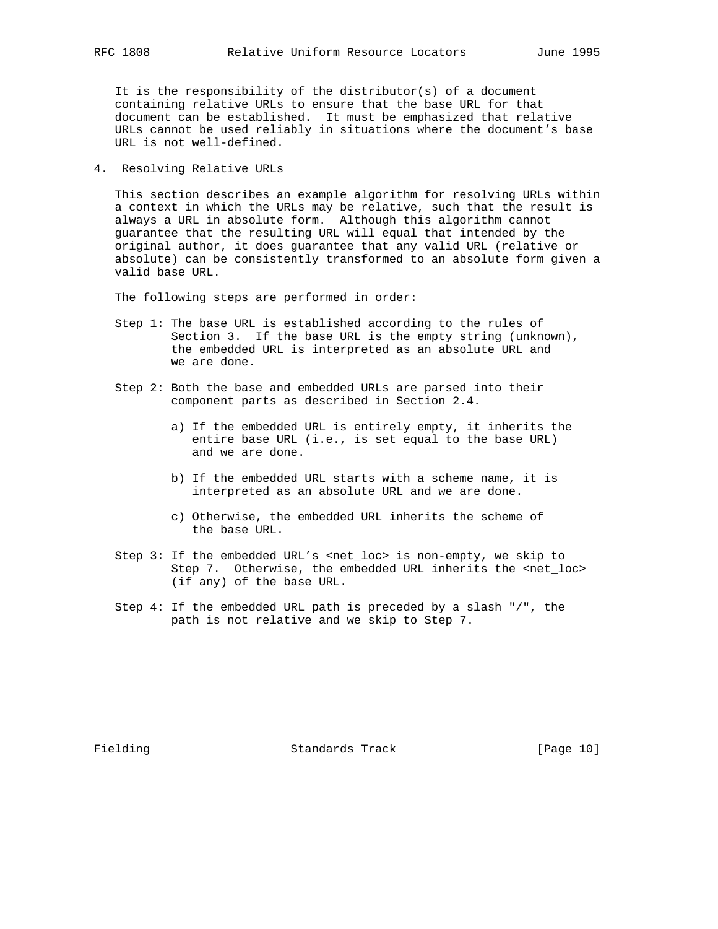It is the responsibility of the distributor(s) of a document containing relative URLs to ensure that the base URL for that document can be established. It must be emphasized that relative URLs cannot be used reliably in situations where the document's base URL is not well-defined.

4. Resolving Relative URLs

 This section describes an example algorithm for resolving URLs within a context in which the URLs may be relative, such that the result is always a URL in absolute form. Although this algorithm cannot guarantee that the resulting URL will equal that intended by the original author, it does guarantee that any valid URL (relative or absolute) can be consistently transformed to an absolute form given a valid base URL.

The following steps are performed in order:

- Step 1: The base URL is established according to the rules of Section 3. If the base URL is the empty string (unknown), the embedded URL is interpreted as an absolute URL and we are done.
- Step 2: Both the base and embedded URLs are parsed into their component parts as described in Section 2.4.
	- a) If the embedded URL is entirely empty, it inherits the entire base URL (i.e., is set equal to the base URL) and we are done.
	- b) If the embedded URL starts with a scheme name, it is interpreted as an absolute URL and we are done.
	- c) Otherwise, the embedded URL inherits the scheme of the base URL.
- Step 3: If the embedded URL's <net\_loc> is non-empty, we skip to Step 7. Otherwise, the embedded URL inherits the <net\_loc> (if any) of the base URL.
- Step 4: If the embedded URL path is preceded by a slash "/", the path is not relative and we skip to Step 7.

Fielding  $\qquad \qquad$  Standards Track [Page 10]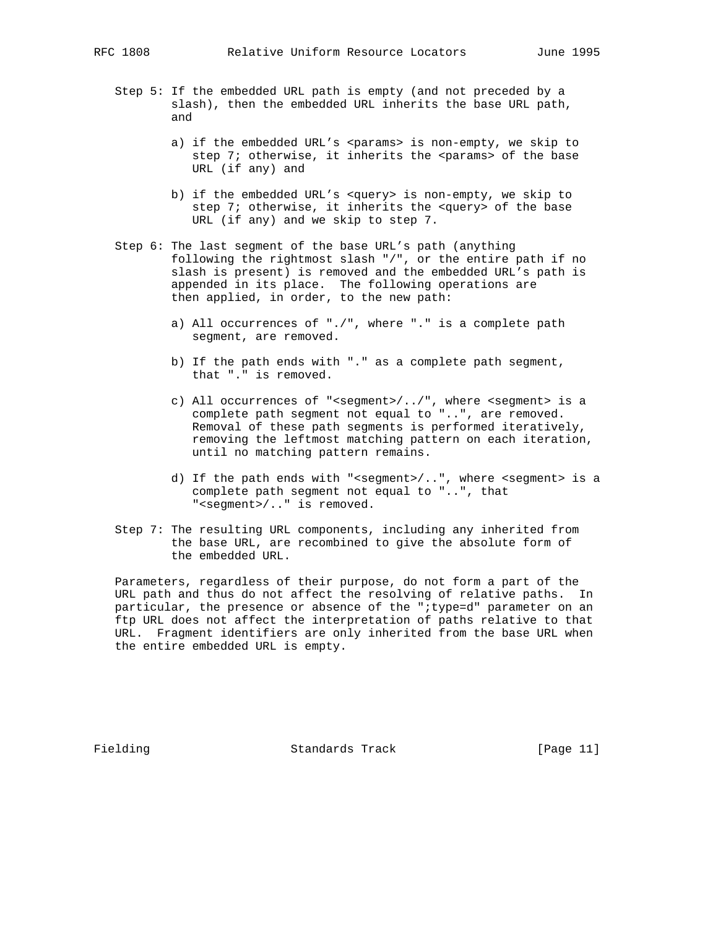- Step 5: If the embedded URL path is empty (and not preceded by a slash), then the embedded URL inherits the base URL path, and
	- a) if the embedded URL's <params> is non-empty, we skip to step 7; otherwise, it inherits the <params> of the base URL (if any) and
	- b) if the embedded URL's <query> is non-empty, we skip to step 7; otherwise, it inherits the <query> of the base URL (if any) and we skip to step 7.
- Step 6: The last segment of the base URL's path (anything following the rightmost slash "/", or the entire path if no slash is present) is removed and the embedded URL's path is appended in its place. The following operations are then applied, in order, to the new path:
	- a) All occurrences of "./", where "." is a complete path segment, are removed.
	- b) If the path ends with "." as a complete path segment, that "." is removed.
	- c) All occurrences of "<segment>/../", where <segment> is a complete path segment not equal to "..", are removed. Removal of these path segments is performed iteratively, removing the leftmost matching pattern on each iteration, until no matching pattern remains.
	- d) If the path ends with "<segment>/..", where <segment> is a complete path segment not equal to "..", that "<segment>/.." is removed.
- Step 7: The resulting URL components, including any inherited from the base URL, are recombined to give the absolute form of the embedded URL.

 Parameters, regardless of their purpose, do not form a part of the URL path and thus do not affect the resolving of relative paths. In particular, the presence or absence of the ";type=d" parameter on an ftp URL does not affect the interpretation of paths relative to that URL. Fragment identifiers are only inherited from the base URL when the entire embedded URL is empty.

Fielding **Standards Track** [Page 11]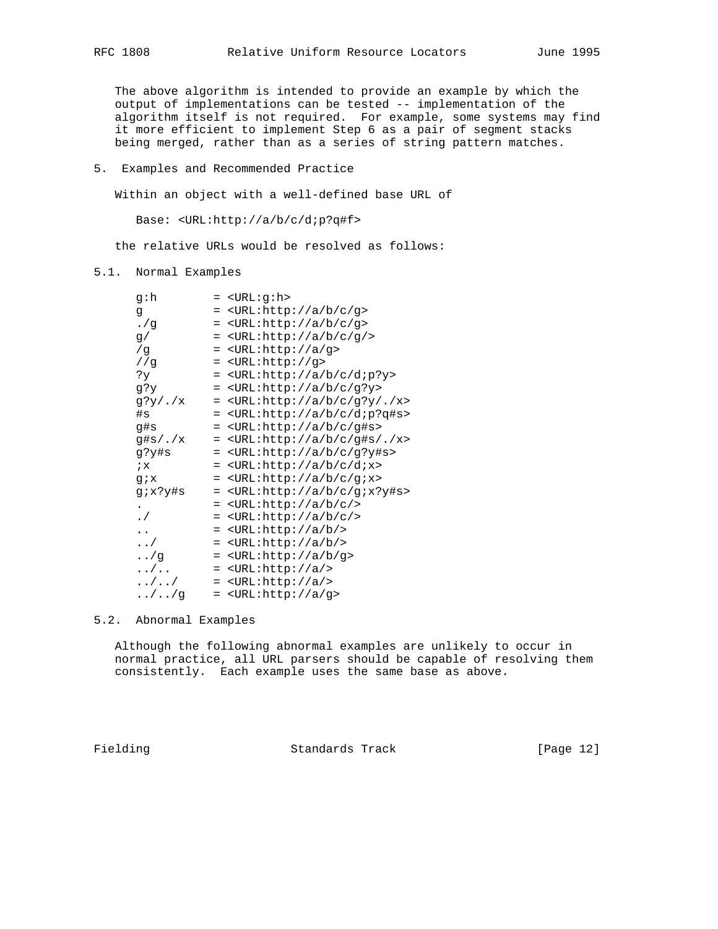The above algorithm is intended to provide an example by which the output of implementations can be tested -- implementation of the algorithm itself is not required. For example, some systems may find it more efficient to implement Step 6 as a pair of segment stacks being merged, rather than as a series of string pattern matches.

5. Examples and Recommended Practice

Within an object with a well-defined base URL of

Base: <URL:http://a/b/c/d;p?q#f>

the relative URLs would be resolved as follows:

# 5.1. Normal Examples

| q∶h               | = <url:g:h></url:g:h>                                                      |
|-------------------|----------------------------------------------------------------------------|
| đ                 | <url:http: a="" b="" c="" g=""><br/><math>=</math></url:http:>             |
| . /g              | <url:http: a="" b="" c="" g=""><br/><math>=</math></url:http:>             |
| g/                | <url:http: a="" b="" c="" g=""></url:http:><br>$=$                         |
| /g                | $=$ <url:http: a="" g=""></url:http:>                                      |
| //g               | $=$ <url:http: q=""></url:http:>                                           |
| ?Y                | = <url:http: a="" b="" c="" d;p?y=""></url:http:>                          |
| g?y               | $=$ <url:http: a="" b="" c="" q?y=""></url:http:>                          |
| $q$ ?y/./x        | <url:http: .="" a="" b="" c="" g?y="" x=""><br/><math>=</math></url:http:> |
| #s                | <url:http: a="" b="" c="" d;p?q#s=""><br/><math>=</math></url:http:>       |
| q#s               | = <url:http: a="" b="" c="" g#s=""></url:http:>                            |
| g#s/./x           | = <url:http: .="" a="" b="" c="" g#s="" x=""></url:http:>                  |
| g?y#s             | = <url:http: a="" b="" c="" g?y#s=""></url:http:>                          |
| $i\mathbf{x}$     | = <url:http: a="" b="" c="" dix=""></url:http:>                            |
| $q_{i}x$          | <url:http: a="" b="" c="" g;x=""><br/><math>=</math></url:http:>           |
| g;x?y#s           | <url:http: a="" b="" c="" q;x?y#s=""><br/><math>=</math></url:http:>       |
| $\bullet$         | <url:http: a="" b="" c=""></url:http:><br>$=$                              |
| $\cdot$ /         | $\text{CURL:http://a/b/c/>}$<br>$=$                                        |
| $\ddotsc$         | = <url:http: a="" b=""></url:http:>                                        |
| $\cdot$ . /       | $=$ <url:http: a="" b=""></url:http:>                                      |
| $\ldots$ /g       | = <url:http: a="" b="" g=""></url:http:>                                   |
| $\dots/$          | = <url:http: a=""></url:http:>                                             |
| $\ldots/ \ldots/$ | $=$ <url:http: a=""></url:http:>                                           |
| $\ldots/\ldots/g$ | = <url:http: a="" g=""></url:http:>                                        |

# 5.2. Abnormal Examples

 Although the following abnormal examples are unlikely to occur in normal practice, all URL parsers should be capable of resolving them consistently. Each example uses the same base as above.

Fielding Standards Track [Page 12]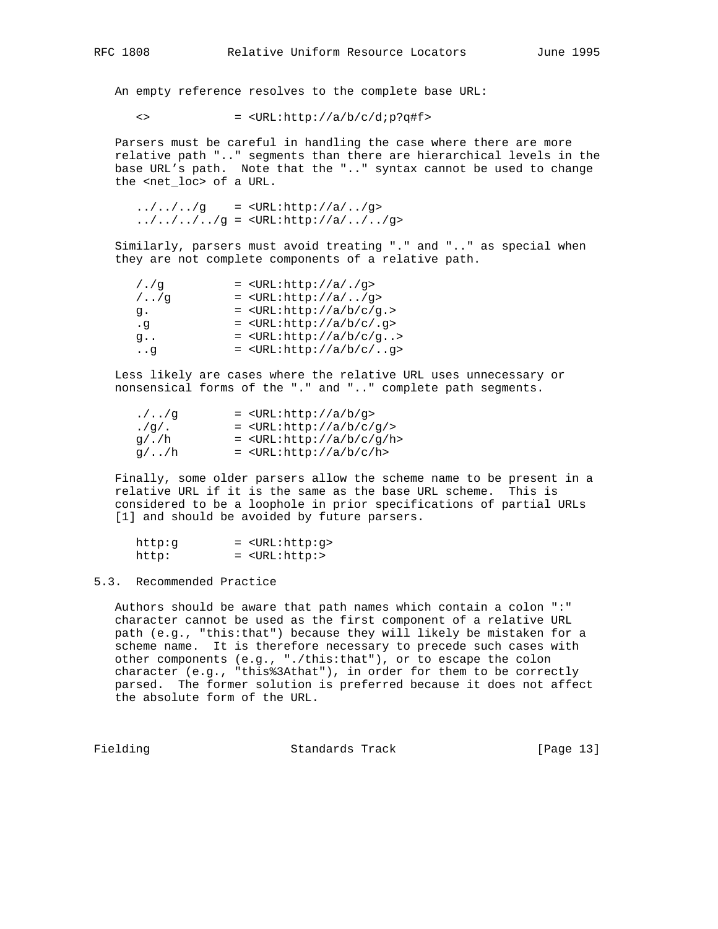An empty reference resolves to the complete base URL:

 $\langle$ > =  $\langle \text{URL:http://a/b/c/d:p?q#f>}$ 

 Parsers must be careful in handling the case where there are more relative path ".." segments than there are hierarchical levels in the base URL's path. Note that the ".." syntax cannot be used to change the <net\_loc> of a URL.

 $\ldots/ \ldots /$ ../g = <URL:http://a/../g>  $1.7.7.7.7.7.79 = 5.7.7.7.7.7$ 

 Similarly, parsers must avoid treating "." and ".." as special when they are not complete components of a relative path.

| $/$ ./q         | $=$ <url:http: .="" a="" g=""></url:http:>       |
|-----------------|--------------------------------------------------|
| $/$ $/$ q       | $=$ <url:http: a="" g=""></url:http:>            |
| q.              | $=$ <url:http: a="" b="" c="" q.=""></url:http:> |
| $\cdot$ q       | $=$ <url:http: .g="" a="" b="" c=""></url:http:> |
| q.,             | $=$ <url:http: a="" b="" c="" g=""></url:http:>  |
| $\cdot \cdot$ q | $=$ <url:http: a="" b="" c="" g=""></url:http:>  |

 Less likely are cases where the relative URL uses unnecessary or nonsensical forms of the "." and ".." complete path segments.

| . / / q      | $=$ <url:http: a="" b="" g=""></url:http:>           |
|--------------|------------------------------------------------------|
| .99/1.       | $=$ <url:http: a="" b="" c="" g=""></url:http:>      |
| q / . / h    | $=$ <url:http: a="" b="" c="" h="" q=""></url:http:> |
| $q/\ldots/h$ | $=$ <url:http: a="" b="" c="" h=""></url:http:>      |

 Finally, some older parsers allow the scheme name to be present in a relative URL if it is the same as the base URL scheme. This is considered to be a loophole in prior specifications of partial URLs [1] and should be avoided by future parsers.

| http:q | = <url:http:q></url:http:q> |
|--------|-----------------------------|
| http:  | $=$ <url:http:></url:http:> |

#### 5.3. Recommended Practice

 Authors should be aware that path names which contain a colon ":" character cannot be used as the first component of a relative URL path (e.g., "this:that") because they will likely be mistaken for a scheme name. It is therefore necessary to precede such cases with other components (e.g., "./this:that"), or to escape the colon character (e.g., "this%3Athat"), in order for them to be correctly parsed. The former solution is preferred because it does not affect the absolute form of the URL.

Fielding **Standards Track** [Page 13]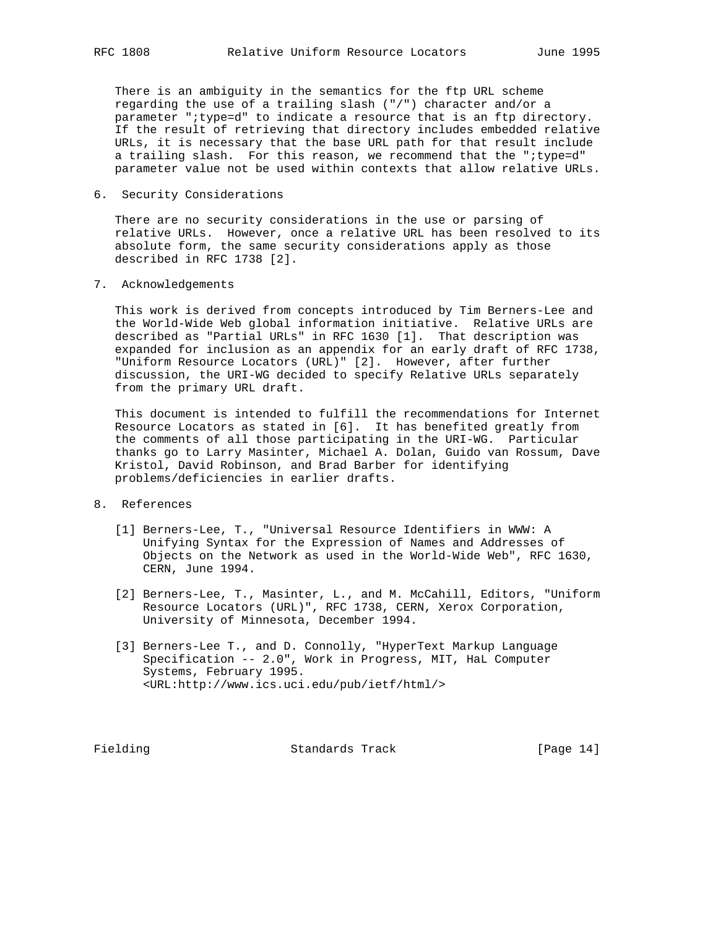There is an ambiguity in the semantics for the ftp URL scheme regarding the use of a trailing slash ("/") character and/or a parameter ";type=d" to indicate a resource that is an ftp directory. If the result of retrieving that directory includes embedded relative URLs, it is necessary that the base URL path for that result include a trailing slash. For this reason, we recommend that the ";type=d" parameter value not be used within contexts that allow relative URLs.

6. Security Considerations

 There are no security considerations in the use or parsing of relative URLs. However, once a relative URL has been resolved to its absolute form, the same security considerations apply as those described in RFC 1738 [2].

7. Acknowledgements

 This work is derived from concepts introduced by Tim Berners-Lee and the World-Wide Web global information initiative. Relative URLs are described as "Partial URLs" in RFC 1630 [1]. That description was expanded for inclusion as an appendix for an early draft of RFC 1738, "Uniform Resource Locators (URL)" [2]. However, after further discussion, the URI-WG decided to specify Relative URLs separately from the primary URL draft.

 This document is intended to fulfill the recommendations for Internet Resource Locators as stated in [6]. It has benefited greatly from the comments of all those participating in the URI-WG. Particular thanks go to Larry Masinter, Michael A. Dolan, Guido van Rossum, Dave Kristol, David Robinson, and Brad Barber for identifying problems/deficiencies in earlier drafts.

# 8. References

- [1] Berners-Lee, T., "Universal Resource Identifiers in WWW: A Unifying Syntax for the Expression of Names and Addresses of Objects on the Network as used in the World-Wide Web", RFC 1630, CERN, June 1994.
- [2] Berners-Lee, T., Masinter, L., and M. McCahill, Editors, "Uniform Resource Locators (URL)", RFC 1738, CERN, Xerox Corporation, University of Minnesota, December 1994.
- [3] Berners-Lee T., and D. Connolly, "HyperText Markup Language Specification -- 2.0", Work in Progress, MIT, HaL Computer Systems, February 1995. <URL:http://www.ics.uci.edu/pub/ietf/html/>

Fielding Standards Track [Page 14]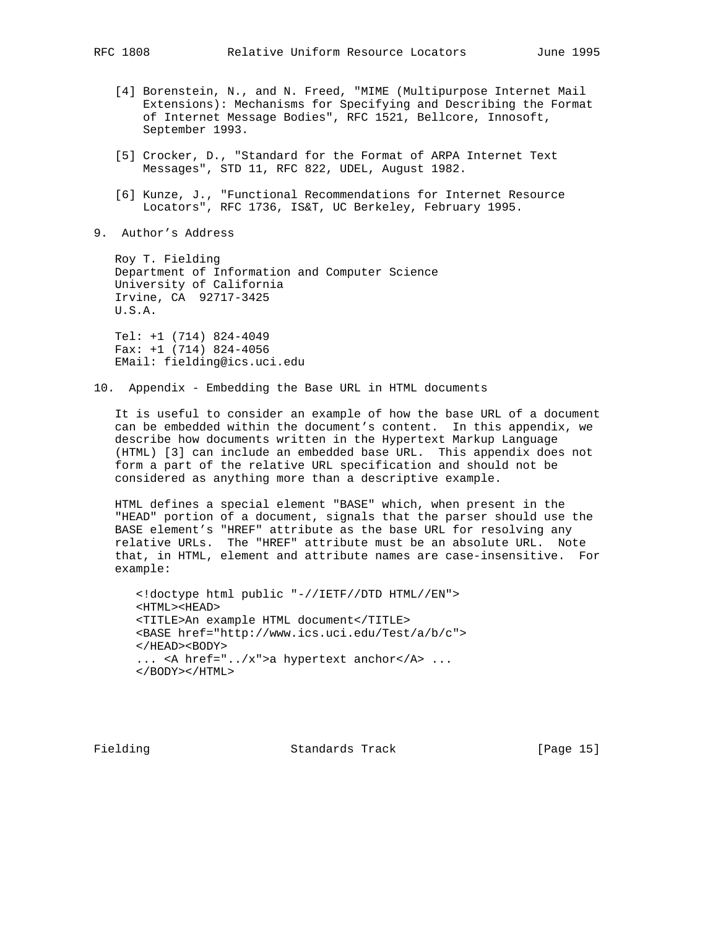- [4] Borenstein, N., and N. Freed, "MIME (Multipurpose Internet Mail Extensions): Mechanisms for Specifying and Describing the Format of Internet Message Bodies", RFC 1521, Bellcore, Innosoft, September 1993.
- [5] Crocker, D., "Standard for the Format of ARPA Internet Text Messages", STD 11, RFC 822, UDEL, August 1982.
- [6] Kunze, J., "Functional Recommendations for Internet Resource Locators", RFC 1736, IS&T, UC Berkeley, February 1995.
- 9. Author's Address

 Roy T. Fielding Department of Information and Computer Science University of California Irvine, CA 92717-3425 U.S.A.

 Tel: +1 (714) 824-4049 Fax: +1 (714) 824-4056 EMail: fielding@ics.uci.edu

10. Appendix - Embedding the Base URL in HTML documents

 It is useful to consider an example of how the base URL of a document can be embedded within the document's content. In this appendix, we describe how documents written in the Hypertext Markup Language (HTML) [3] can include an embedded base URL. This appendix does not form a part of the relative URL specification and should not be considered as anything more than a descriptive example.

 HTML defines a special element "BASE" which, when present in the "HEAD" portion of a document, signals that the parser should use the BASE element's "HREF" attribute as the base URL for resolving any relative URLs. The "HREF" attribute must be an absolute URL. Note that, in HTML, element and attribute names are case-insensitive. For example:

 <!doctype html public "-//IETF//DTD HTML//EN"> <HTML><HEAD> <TITLE>An example HTML document</TITLE> <BASE href="http://www.ics.uci.edu/Test/a/b/c"> </HEAD><BODY> ... <A href="../x">a hypertext anchor</A> ... </BODY></HTML>

Fielding Standards Track [Page 15]